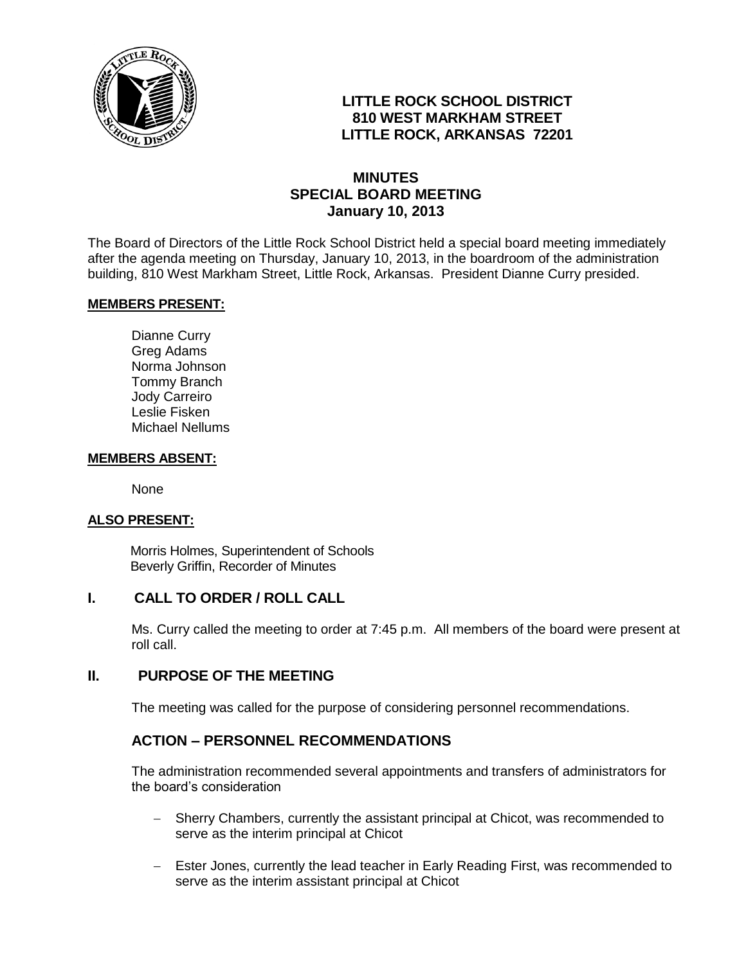

# **LITTLE ROCK SCHOOL DISTRICT 810 WEST MARKHAM STREET LITTLE ROCK, ARKANSAS 72201**

## **MINUTES SPECIAL BOARD MEETING January 10, 2013**

The Board of Directors of the Little Rock School District held a special board meeting immediately after the agenda meeting on Thursday, January 10, 2013, in the boardroom of the administration building, 810 West Markham Street, Little Rock, Arkansas. President Dianne Curry presided.

### **MEMBERS PRESENT:**

Dianne Curry Greg Adams Norma Johnson Tommy Branch Jody Carreiro Leslie Fisken Michael Nellums

#### **MEMBERS ABSENT:**

None

### **ALSO PRESENT:**

 Morris Holmes, Superintendent of Schools Beverly Griffin, Recorder of Minutes

### **I. CALL TO ORDER / ROLL CALL**

Ms. Curry called the meeting to order at 7:45 p.m. All members of the board were present at roll call.

### **II. PURPOSE OF THE MEETING**

The meeting was called for the purpose of considering personnel recommendations.

### **ACTION – PERSONNEL RECOMMENDATIONS**

The administration recommended several appointments and transfers of administrators for the board's consideration

- Sherry Chambers, currently the assistant principal at Chicot, was recommended to serve as the interim principal at Chicot
- Ester Jones, currently the lead teacher in Early Reading First, was recommended to serve as the interim assistant principal at Chicot